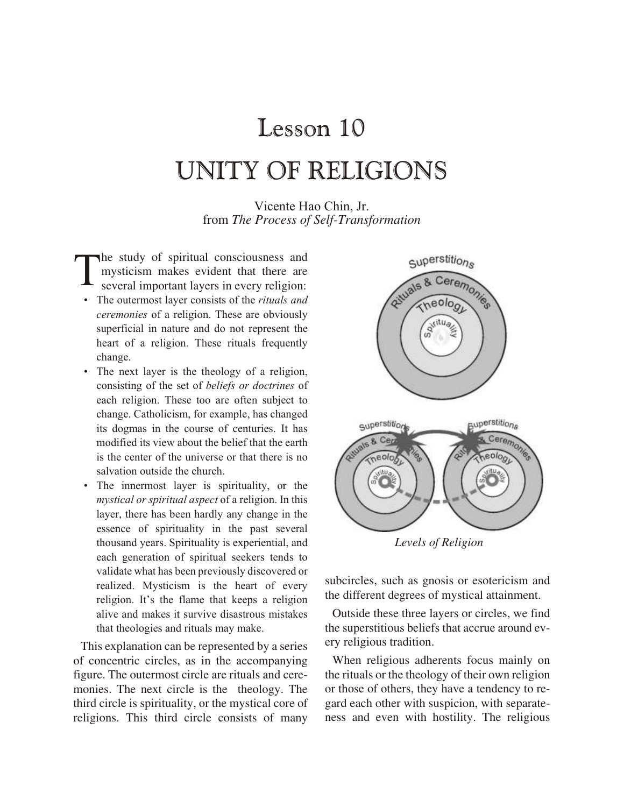## Lesson 10 UNITY OF RELIGIONS

Vicente Hao Chin, Jr. from *The Process of Self-Transformation*

T he study of spiritual consciousness and mysticism makes evident that there are several important layers in every religion:

- The outermost layer consists of the *rituals and ceremonies* of a religion. These are obviously superficial in nature and do not represent the heart of a religion. These rituals frequently change.
- The next layer is the theology of a religion, consisting of the set of *beliefs or doctrines* of each religion. These too are often subject to change. Catholicism, for example, has changed its dogmas in the course of centuries. It has modified its view about the belief that the earth is the center of the universe or that there is no salvation outside the church.
- The innermost layer is spirituality, or the *mystical or spiritual aspect* of a religion. In this layer, there has been hardly any change in the essence of spirituality in the past several thousand years. Spirituality is experiential, and each generation of spiritual seekers tends to validate what has been previously discovered or realized. Mysticism is the heart of every religion. It's the flame that keeps a religion alive and makes it survive disastrous mistakes that theologies and rituals may make.

This explanation can be represented by a series of concentric circles, as in the accompanying figure. The outermost circle are rituals and ceremonies. The next circle is the theology. The third circle is spirituality, or the mystical core of religions. This third circle consists of many



*Levels of Religion*

subcircles, such as gnosis or esotericism and the different degrees of mystical attainment.

Outside these three layers or circles, we find the superstitious beliefs that accrue around every religious tradition.

When religious adherents focus mainly on the rituals or the theology of their own religion or those of others, they have a tendency to regard each other with suspicion, with separateness and even with hostility. The religious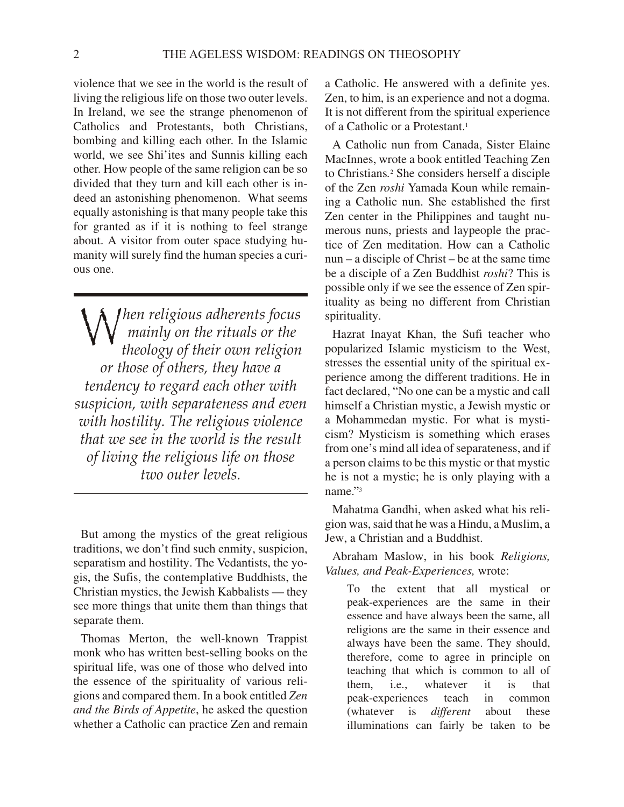violence that we see in the world is the result of living the religious life on those two outer levels. In Ireland, we see the strange phenomenon of Catholics and Protestants, both Christians, bombing and killing each other. In the Islamic world, we see Shi'ites and Sunnis killing each other. How people of the same religion can be so divided that they turn and kill each other is indeed an astonishing phenomenon. What seems equally astonishing is that many people take this for granted as if it is nothing to feel strange about. A visitor from outer space studying humanity will surely find the human species a curious one.

*When religious adherents focus*<br>*M* mainly on the rituals or the<br>theology of their own religion *mainly on the rit u als or the the ol ogy of their own re li gion or those of oth ers, they have a ten dency to re gard each other with sus pi cion, with sep a rate ness and even with hos til ity. The re li gious vi o lence that we see in the world is the result of liv ing the re li gious life on those two outer levels.* 

But among the mystics of the great religious traditions, we don't find such enmity, suspicion, separatism and hostility. The Vedantists, the yogis, the Sufis, the contemplative Buddhists, the Christian mystics, the Jewish Kabbalists — they see more things that unite them than things that separate them.

Thomas Merton, the well-known Trappist monk who has written best-selling books on the spiritual life, was one of those who delved into the essence of the spirituality of various religions and compared them. In a book entitled *Zen and the Birds of Appetite*, he asked the question whether a Catholic can practice Zen and remain

a Catholic. He answered with a definite yes. Zen, to him, is an experience and not a dogma. It is not different from the spiritual experience of a Catholic or a Protestant.<sup>1</sup>

A Catholic nun from Canada, Sister Elaine MacInnes, wrote a book entitled Teaching Zen to Christians.<sup>2</sup> She considers herself a disciple of the Zen *roshi* Yamada Koun while remaining a Catholic nun. She established the first Zen center in the Philippines and taught numerous nuns, priests and laypeople the practice of Zen meditation. How can a Catholic  $n$ un – a disciple of Christ – be at the same time be a disciple of a Zen Buddhist *roshi*? This is possible only if we see the essence of Zen spirituality as being no different from Christian spirituality.

Hazrat Inayat Khan, the Sufi teacher who popularized Islamic mysticism to the West, stresses the essential unity of the spiritual experience among the different traditions. He in fact declared, "No one can be a mystic and call himself a Christian mystic, a Jewish mystic or a Mohammedan mystic. For what is mysticism? Mysticism is something which erases from one's mind all idea of separateness, and if a person claims to be this mystic or that mystic he is not a mystic; he is only playing with a name."<sup>3</sup>

Mahatma Gandhi, when asked what his religion was, said that he was a Hindu, a Muslim, a Jew, a Christian and a Buddhist.

Abraham Maslow, in his book *Religions*, *Values, and Peak-Experiences,* wrote:

To the extent that all mystical or peak-experiences are the same in their essence and have always been the same, all religions are the same in their essence and always have been the same. They should, therefore, come to agree in principle on teaching that which is common to all of them, i.e., whatever it is that peak-experiences teach in common (whatever is *different* about these illuminations can fairly be taken to be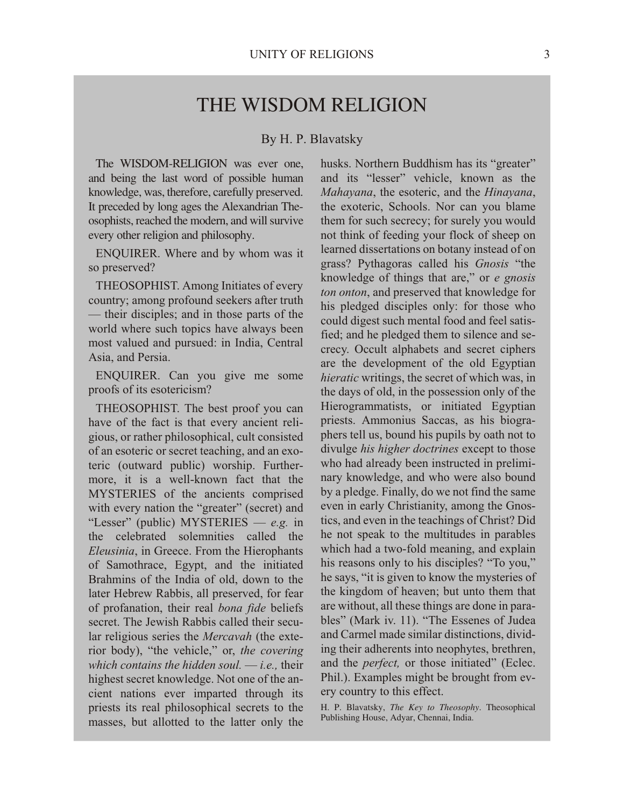## THE WISDOM RELIGION

By H. P. Blavatsky

The WISDOM-RELIGION was ever one, and being the last word of possible human knowledge, was, therefore, carefully preserved. It preceded by long ages the Alexandrian Theosophists, reached the modern, and will survive every other religion and philosophy.

ENQUIRER. Where and by whom was it so preserved?

THEOSOPHIST. Among Initiates of every country; among profound seekers after truth — their disciples; and in those parts of the world where such topics have always been most valued and pursued: in India, Central Asia, and Persia.

ENQUIRER. Can you give me some proofs of its esotericism?

THEOSOPHIST. The best proof you can have of the fact is that every ancient religious, or rather philosophical, cult consisted of an esoteric or secret teaching, and an exoteric (outward public) worship. Furthermore, it is a well-known fact that the MYSTERIES of the ancients comprised with every nation the "greater" (secret) and "Lesser" (public) MYSTERIES — e.g. in the celebrated solemnities called the Eleusinia, in Greece. From the Hierophants of Samothrace, Egypt, and the initiated Brahmins of the India of old, down to the later Hebrew Rabbis, all preserved, for fear of profanation, their real bona fide beliefs secret The Jewish Rabbis called their secular religious series the *Mercavah* (the exterior body), "the vehicle," or, the covering which contains the hidden soul.  $-i.e.$  their highest secret knowledge. Not one of the ancient nations ever imparted through its priests its real philosophical secrets to the masses, but allotted to the latter only the

husks. Northern Buddhism has its "greater" and its "lesser" vehicle, known as the Mahayana, the esoteric, and the Hinayana, the exoteric, Schools. Nor can you blame them for such secrecy; for surely you would not think of feeding your flock of sheep on learned dissertations on botany instead of on grass? Pythagoras called his Gnosis "the knowledge of things that are," or e gnosis ton onton, and preserved that knowledge for his pledged disciples only: for those who could digest such mental food and feel satisfied; and he pledged them to silence and secrecy. Occult alphabets and secret ciphers are the development of the old Egyptian *hieratic* writings, the secret of which was, in the days of old, in the possession only of the Hierogrammatists, or initiated Egyptian priests. Ammonius Saccas, as his biographers tell us, bound his pupils by oath not to divulge his higher doctrines except to those who had already been instructed in preliminary knowledge, and who were also bound by a pledge. Finally, do we not find the same even in early Christianity, among the Gnostics, and even in the teachings of Christ? Did he not speak to the multitudes in parables which had a two-fold meaning, and explain his reasons only to his disciples? "To you," he says, "it is given to know the mysteries of the kingdom of heaven; but unto them that are without, all these things are done in parables" (Mark iv. 11). "The Essenes of Judea and Carmel made similar distinctions, dividing their adherents into neophytes, brethren, and the *perfect*, or those initiated" (Eclec. Phil.). Examples might be brought from every country to this effect.

H. P. Blavatsky, The Key to Theosophy. Theosophical Publishing House, Adyar, Chennai, India.